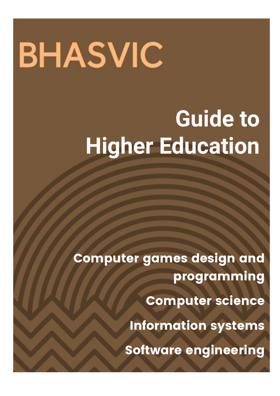# **BHASVIC**

## **Guide to Higher Education**

Computer games design and programming

Computer science

Information systems

Software engineering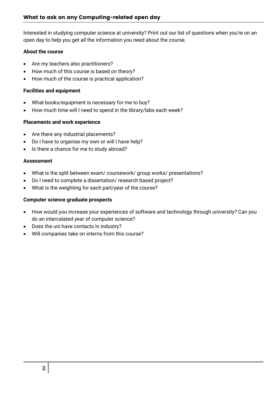Interested in studying computer science at university? Print out our list of questions when you're on an open day to help you get all the information you need about the course.

#### **About the course**

- Are my teachers also practitioners?
- How much of this course is based on theory?
- How much of the course is practical application?

#### **Facilities and equipment**

- What books/equipment is necessary for me to buy?
- How much time will I need to spend in the library/labs each week?

#### **Placements and work experience**

- Are there any industrial placements?
- Do I have to organise my own or will I have help?
- Is there a chance for me to study abroad?

#### **Assessment**

- What is the split between exam/ coursework/ group works/ presentations?
- Do I need to complete a dissertation/ research based project?
- What is the weighting for each part/year of the course?

#### **Computer science graduate prospects**

- How would you increase your experiences of software and technology through university? Can you do an intercalated year of computer science?
- Does the uni have contacts in industry?
- Will companies take on interns from this course?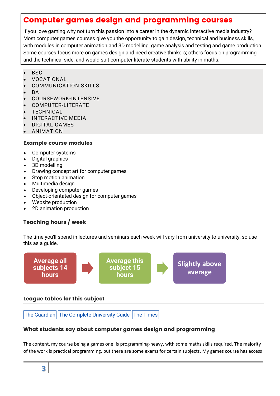### Computer games design and programming courses

If you love gaming why not turn this passion into a career in the dynamic interactive media industry? Most computer games courses give you the opportunity to gain design, technical and business skills, with modules in computer animation and 3D modelling, game analysis and testing and game production. Some courses focus more on games design and need creative thinkers; others focus on programming and the technical side, and would suit computer literate students with ability in maths.

- BSC
- VOCATIONAL
- COMMUNICATION SKILLS
- BA
- COURSEWORK-INTENSIVE
- COMPUTER-LITERATE
- TECHNICAL
- INTERACTIVE MEDIA
- DIGITAL GAMES
- ANIMATION

#### Example course modules

- Computer systems
- Digital graphics
- 3D modelling
- Drawing concept art for computer games
- Stop motion animation
- Multimedia design
- Developing computer games
- Object-orientated design for computer games
- Website production
- 2D animation production

#### Teaching hours / week

The time you'll spend in lectures and seminars each week will vary from university to university, so use this as a guide.



#### League tables for this subject

The [Guardian](https://www.theguardian.com/education/ng-interactive/2017/may/16/university-league-tables-2018) The Complete [University](http://www.thecompleteuniversityguide.co.uk/league-tables/rankings?s=Architecture) Guide The [Times](https://www.thetimes.co.uk/article/top-by-subject-mgbnm672r)

#### What students say about computer games design and programming

The content, my course being a games one, is programming-heavy, with some maths skills required. The majority of the work is practical programming, but there are some exams for certain subjects. My games course has access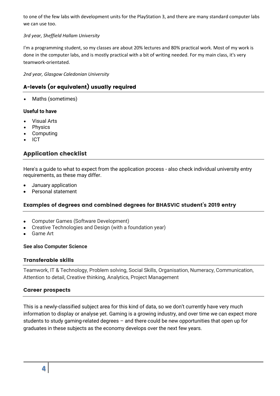to one of the few labs with development units for the PlayStation 3, and there are many standard computer labs we can use too.

#### *3rd year, Sheffield Hallam University*

I'm a programming student, so my classes are about 20% lectures and 80% practical work. Most of my work is done in the computer labs, and is mostly practical with a bit of writing needed. For my main class, it's very teamwork-orientated.

*2nd year, Glasgow Caledonian University*

#### A-levels (or equivalent) usually required

Maths (sometimes)

#### **Useful to have**

- Visual Arts
- Physics
- Computing
- ICT

#### Application checklist

Here's a guide to what to expect from the application process - also check individual university entry requirements, as these may differ.

- January application
- Personal statement

#### Examples of degrees and combined degrees for BHASVIC student's 2019 entry

- Computer Games (Software Development)
- Creative Technologies and Design (with a foundation year)
- Game Art

#### **See also Computer Science**

#### Transferable skills

Teamwork, IT & Technology, Problem solving, Social Skills, Organisation, Numeracy, Communication, Attention to detail, Creative thinking, Analytics, Project Management

#### Career prospects

This is a newly-classified subject area for this kind of data, so we don't currently have very much information to display or analyse yet. Gaming is a growing industry, and over time we can expect more students to study gaming-related degrees – and there could be new opportunities that open up for graduates in these subjects as the economy develops over the next few years.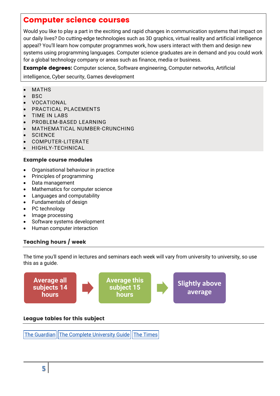#### Computer science courses

Would you like to play a part in the exciting and rapid changes in communication systems that impact on our daily lives? Do cutting-edge technologies such as 3D graphics, virtual reality and artificial intelligence appeal? You'll learn how computer programmes work, how users interact with them and design new systems using programming languages. Computer science graduates are in demand and you could work for a global technology company or areas such as finance, media or business.

**Example degrees:** Computer science, Software engineering, Computer networks, Artificial

intelligence, Cyber security, Games development

- MATHS
- BSC
- VOCATIONAL
- PRACTICAL PLACEMENTS
- TIME IN LABS
- PROBLEM-BASED LEARNING
- MATHEMATICAL NUMBER-CRUNCHING
- **SCIENCE**
- COMPUTER-LITERATE
- HIGHLY-TECHNICAL

#### Example course modules

- Organisational behaviour in practice
- Principles of programming
- Data management
- Mathematics for computer science
- Languages and computability
- Fundamentals of design
- PC technology
- Image processing
- Software systems development
- Human computer interaction

#### Teaching hours / week

The time you'll spend in lectures and seminars each week will vary from university to university, so use this as a guide.



The [Guardian](https://www.theguardian.com/education/ng-interactive/2017/may/16/university-league-tables-2018) The Complete [University](http://www.thecompleteuniversityguide.co.uk/league-tables/rankings?s=Architecture) Guide The [Times](https://www.thetimes.co.uk/article/top-by-subject-mgbnm672r)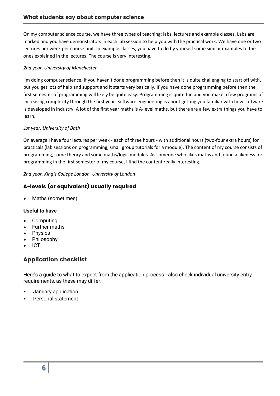On my computer science course, we have three types of teaching: labs, lectures and example classes. Labs are marked and you have demonstrators in each lab session to help you with the practical work. We have one or two lectures per week per course unit. In example classes, you have to do by yourself some similar examples to the ones explained in the lectures. The course is very interesting.

#### *2nd year, University of Manchester*

I'm doing computer science. If you haven't done programming before then it is quite challenging to start off with, but you get lots of help and support and it starts very basically. If you have done programming before then the first semester of programming will likely be quite easy. Programming is quite fun and you make a few programs of increasing complexity through the first year. Software engineering is about getting you familiar with how software is developed in industry. A lot of the first year maths is A-level maths, but there are a few extra things you have to learn.

#### *1st year, University of Bath*

On average I have four lectures per week - each of three hours - with additional hours (two-four extra hours) for practicals (lab sessions on programming, small group tutorials for a module). The content of my course consists of programming, some theory and some maths/logic modules. As someone who likes maths and found a likeness for programming in the first semester of my course, I find the content really interesting.

*2nd year, King's College London, University of London*

#### A-levels (or equivalent) usually required

Maths (sometimes)

#### **Useful to have**

- Computing
- Further maths
- Physics
- Philosophy
- ICT

#### Application checklist

Here's a guide to what to expect from the application process - also check individual university entry requirements, as these may differ.

- January application
- Personal statement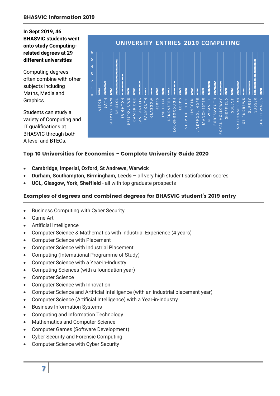**In Sept 2019, 46 BHASVIC students went onto study Computingrelated degrees at 29 different universities** 

Computing degrees often combine with other subjects including Maths, Media and Graphics.

Students can study a variety of Computing and IT qualifications at BHASVIC through both A-level and BTECs.



#### Top 10 Universities for Economics - Complete University Guide 2020

- **Cambridge, Imperial, Oxford, St Andrews, Warwick**
- **Durham, Southampton, Birmingham, Leeds**  all very high student satisfaction scores
- **UCL, Glasgow, York, Sheffield**  all with top graduate prospects

#### Examples of degrees and combined degrees for BHASVIC student's 2019 entry

- **•** Business Computing with Cyber Security
- Game Art
- Artificial Intelligence
- Computer Science & Mathematics with Industrial Experience (4 years)
- Computer Science with Placement
- Computer Science with Industrial Placement
- Computing (International Programme of Study)
- Computer Science with a Year-in-Industry
- Computing Sciences (with a foundation year)
- Computer Science
- Computer Science with Innovation
- Computer Science and Artificial Intelligence (with an industrial placement year)
- Computer Science (Artificial Intelligence) with a Year-in-Industry
- **•** Business Information Systems
- Computing and Information Technology
- Mathematics and Computer Science
- Computer Games (Software Development)
- Cyber Security and Forensic Computing
- Computer Science with Cyber Security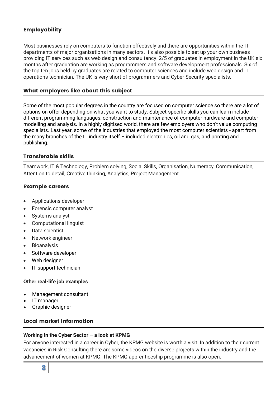#### Employability

Most businesses rely on computers to function effectively and there are opportunities within the IT departments of major organisations in many sectors. It's also possible to set up your own business providing IT services such as web design and consultancy. 2/5 of graduates in employment in the UK six months after graduation are working as programmers and software development professionals. Six of the top ten jobs held by graduates are related to computer sciences and include web design and IT operations technician. The UK is very short of programmers and Cyber Security specialists.

#### What employers like about this subject

Some of the most popular degrees in the country are focused on computer science so there are a lot of options on offer depending on what you want to study. Subject-specific skills you can learn include different programming languages; construction and maintenance of computer hardware and computer modelling and analysis. In a highly digitised world, there are few employers who don't value computing specialists. Last year, some of the industries that employed the most computer scientists - apart from the many branches of the IT industry itself – included electronics, oil and gas, and printing and publishing.

#### Transferable skills

Teamwork, IT & Technology, Problem solving, Social Skills, Organisation, Numeracy, Communication, Attention to detail, Creative thinking, Analytics, Project Management

#### Example careers

- Applications developer
- Forensic computer analyst
- Systems analyst
- Computational linguist
- Data scientist
- Network engineer
- **Bioanalysis**
- Software developer
- Web designer
- IT support technician

#### **Other real-life job examples**

- Management consultant
- IT manager
- Graphic designer

#### Local market information

#### **Working in the Cyber Sector – a look at KPMG**

For anyone interested in a career in Cyber, the KPMG website is worth a visit. In addition to their current vacancies in Risk Consulting there are some videos on the diverse projects within the industry and the advancement of women at KPMG. The KPMG apprenticeship programme is also open.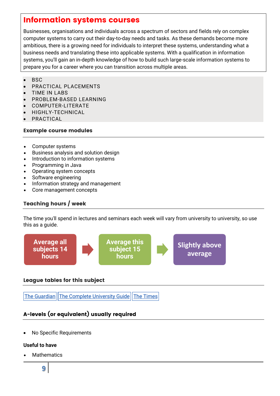#### Information systems courses

Businesses, organisations and individuals across a spectrum of sectors and fields rely on complex computer systems to carry out their day-to-day needs and tasks. As these demands become more ambitious, there is a growing need for individuals to interpret these systems, understanding what a business needs and translating these into applicable systems. With a qualification in information systems, you'll gain an in-depth knowledge of how to build such large-scale information systems to prepare you for a career where you can transition across multiple areas.

- $-BSC$
- PRACTICAL PLACEMENTS
- TIME IN LABS
- PROBLEM-BASED LEARNING
- COMPUTER-LITERATE
- HIGHLY-TECHNICAL
- PRACTICAL

#### Example course modules

- Computer systems
- Business analysis and solution design
- Introduction to information systems
- Programming in Java
- Operating system concepts
- Software engineering
- Information strategy and management
- Core management concepts

#### Teaching hours / week

The time you'll spend in lectures and seminars each week will vary from university to university, so use this as a guide.



#### League tables for this subject

The [Guardian](https://www.theguardian.com/education/ng-interactive/2017/may/16/university-league-tables-2018) The Complete [University](http://www.thecompleteuniversityguide.co.uk/league-tables/rankings?s=Architecture) Guide The [Times](https://www.thetimes.co.uk/article/top-by-subject-mgbnm672r)

#### A-levels (or equivalent) usually required

No Specific Requirements

#### **Useful to have**

Mathematics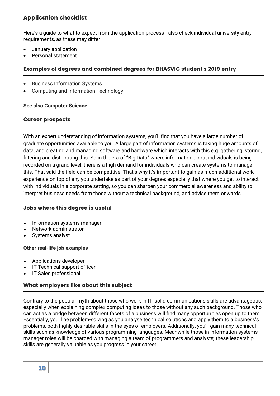Here's a guide to what to expect from the application process - also check individual university entry requirements, as these may differ.

- January application
- Personal statement

#### Examples of degrees and combined degrees for BHASVIC student's 2019 entry

- Business Information Systems
- Computing and Information Technology

#### **See also Computer Science**

#### Career prospects

With an expert understanding of information systems, you'll find that you have a large number of graduate opportunities available to you. A large part of information systems is taking huge amounts of data, and creating and managing software and hardware which interacts with this e.g. gathering, storing, filtering and distributing this. So in the era of "Big Data" where information about individuals is being recorded on a grand level, there is a high demand for individuals who can create systems to manage this. That said the field can be competitive. That's why it's important to gain as much additional work experience on top of any you undertake as part of your degree; especially that where you get to interact with individuals in a corporate setting, so you can sharpen your commercial awareness and ability to interpret business needs from those without a technical background, and advise them onwards.

#### Jobs where this degree is useful

- Information systems manager
- Network administrator
- Systems analyst

#### **Other real-life job examples**

- Applications developer
- IT Technical support officer
- IT Sales professional

#### What employers like about this subject

Contrary to the popular myth about those who work in IT, solid communications skills are advantageous, especially when explaining complex computing ideas to those without any such background. Those who can act as a bridge between different facets of a business will find many opportunities open up to them. Essentially, you'll be problem-solving as you analyse technical solutions and apply them to a business's problems, both highly-desirable skills in the eyes of employers. Additionally, you'll gain many technical skills such as knowledge of various programming languages. Meanwhile those in information systems manager roles will be charged with managing a team of programmers and analysts; these leadership skills are generally valuable as you progress in your career.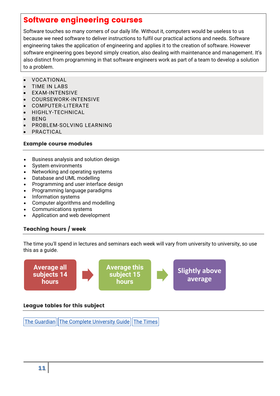#### Software engineering courses

Software touches so many corners of our daily life. Without it, computers would be useless to us because we need software to deliver instructions to fulfil our practical actions and needs. Software engineering takes the application of engineering and applies it to the creation of software. However software engineering goes beyond simply creation, also dealing with maintenance and management. It's also distinct from programming in that software engineers work as part of a team to develop a solution to a problem.

- VOCATIONAL
- TIME IN LABS
- EXAM-INTENSIVE
- COURSEWORK-INTENSIVE
- COMPUTER-LITERATE
- HIGHLY-TECHNICAL
- BENG
- PROBLEM-SOLVING LEARNING
- PRACTICAL

#### Example course modules

- Business analysis and solution design
- System environments
- Networking and operating systems
- Database and UML modelling
- Programming and user interface design
- Programming language paradigms
- Information systems
- Computer algorithms and modelling
- Communications systems
- Application and web development

#### Teaching hours / week

The time you'll spend in lectures and seminars each week will vary from university to university, so use this as a guide.



#### League tables for this subject

The [Guardian](https://www.theguardian.com/education/ng-interactive/2017/may/16/university-league-tables-2018) The Complete [University](http://www.thecompleteuniversityguide.co.uk/league-tables/rankings?s=Architecture) Guide The [Times](https://www.thetimes.co.uk/article/top-by-subject-mgbnm672r)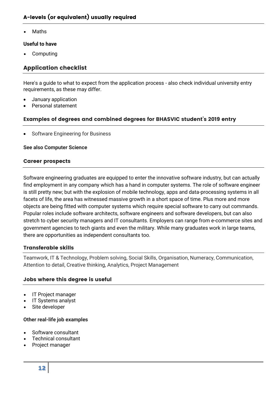Maths

#### **Useful to have**

Computing

#### Application checklist

Here's a guide to what to expect from the application process - also check individual university entry requirements, as these may differ.

- January application
- Personal statement

#### Examples of degrees and combined degrees for BHASVIC student's 2019 entry

Software Engineering for Business

#### **See also Computer Science**

#### Career prospects

Software engineering graduates are equipped to enter the innovative software industry, but can actually find employment in any company which has a hand in computer systems. The role of software engineer is still pretty new; but with the explosion of mobile technology, apps and data-processing systems in all facets of life, the area has witnessed massive growth in a short space of time. Plus more and more objects are being fitted with computer systems which require special software to carry out commands. Popular roles include software architects, software engineers and software developers, but can also stretch to cyber security managers and IT consultants. Employers can range from e-commerce sites and government agencies to tech giants and even the military. While many graduates work in large teams, there are opportunities as independent consultants too.

#### Transferable skills

Teamwork, IT & Technology, Problem solving, Social Skills, Organisation, Numeracy, Communication, Attention to detail, Creative thinking, Analytics, Project Management

#### Jobs where this degree is useful

- IT Project manager
- IT Systems analyst
- Site developer

#### **Other real-life job examples**

- Software consultant
- Technical consultant
- Project manager